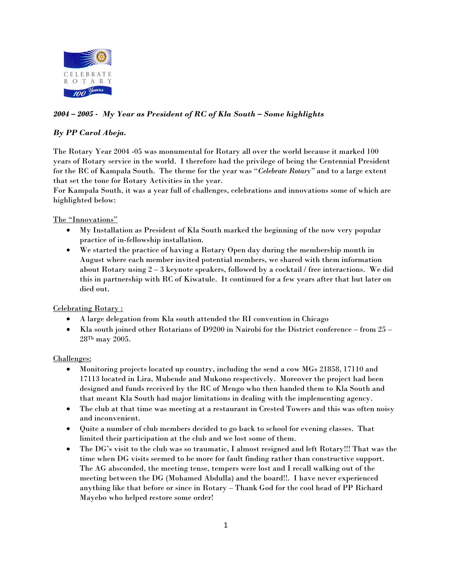

# *2004 – 2005 - My Year as President of RC of Kla South – Some highlights*

## *By PP Carol Abeja.*

The Rotary Year 2004 -05 was monumental for Rotary all over the world because it marked 100 years of Rotary service in the world. I therefore had the privilege of being the Centennial President for the RC of Kampala South. The theme for the year was "*Celebrate Rotary"* and to a large extent that set the tone for Rotary Activities in the year.

For Kampala South, it was a year full of challenges, celebrations and innovations some of which are highlighted below:

### The "Innovations"

- My Installation as President of Kla South marked the beginning of the now very popular practice of in-fellowship installation.
- We started the practice of having a Rotary Open day during the membership month in August where each member invited potential members, we shared with them information about Rotary using  $2-3$  keynote speakers, followed by a cocktail / free interactions. We did this in partnership with RC of Kiwatule. It continued for a few years after that but later on died out.

### Celebrating Rotary :

- A large delegation from Kla south attended the RI convention in Chicago
- Kla south joined other Rotarians of D9200 in Nairobi for the District conference from  $25$  28Th may 2005.

### Challenges:

- Monitoring projects located up country, including the send a cow MGs 21858, 17110 and 17113 located in Lira, Mubende and Mukono respectively. Moreover the project had been designed and funds received by the RC of Mengo who then handed them to Kla South and that meant Kla South had major limitations in dealing with the implementing agency.
- The club at that time was meeting at a restaurant in Crested Towers and this was often noisy and inconvenient.
- Quite a number of club members decided to go back to school for evening classes. That limited their participation at the club and we lost some of them.
- The DG's visit to the club was so traumatic, I almost resigned and left Rotary!!! That was the time when DG visits seemed to be more for fault finding rather than constructive support. The AG absconded, the meeting tense, tempers were lost and I recall walking out of the meeting between the DG (Mohamed Abdulla) and the board!!. I have never experienced anything like that before or since in Rotary – Thank God for the cool head of PP Richard Mayebo who helped restore some order!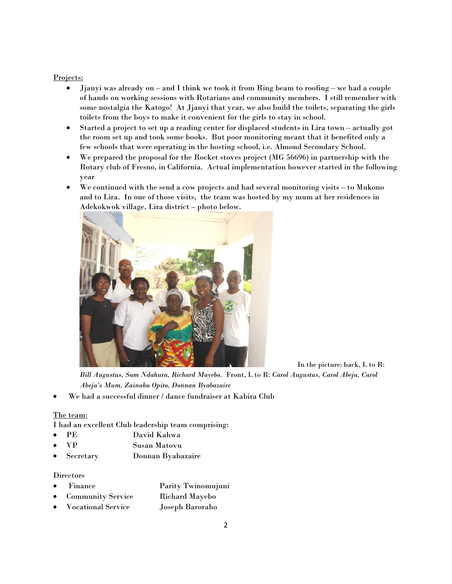#### Projects:

- Jjanyi was already on and I think we took it from Ring beam to roofing we had a couple of hands on working sessions with Rotarians and community members. I still remember with some nostalgia the Katogo! At Jjanyi that year, we also build the toilets, separating the girls toilets from the boys to make it convenient for the girls to stay in school.
- Started a project to set up a reading center for displaced students in Lira town actually got the room set up and took some books. But poor monitoring meant that it benefited only a few schools that were operating in the hosting school, i.e. Almond Secondary School.
- We prepared the proposal for the Rocket stoves project (MG 56696) in partnership with the Rotary club of Fresno, in California. Actual implementation however started in the following year
- We continued with the send a cow projects and had several monitoring visits to Mukono and to Lira. In one of those visits, the team was hosted by my mum at her residences in Adekokwok village, Lira district – photo below.



In the picture: back, L to R:

*Bill Augustus, Sam Ndahura, Richard Mayebo.* Front, L to R: *Carol Augustus, Carol Abeja, Carol Abeja's Mum, Zainabu Opito, Donnan Byabazaire* 

• We had a successful dinner / dance fundraiser at Kabira Club

#### The team:

I had an excellent Club leadership team comprising:

- PE David Kahwa
- VP Susan Matovu
- Secretary Donnan Byabazaire

## **Directors**

- Finance Parity Twinomujuni
- Community Service Richard Mayebo
- Vocational Service Joseph Baroraho